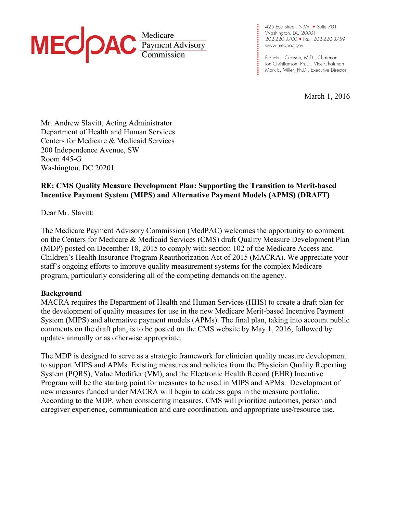

**. . . .**  Washington, DC 20001 **. . . .**  202-220-3700 • Fax: 202-220-3759 **. . .**  www.medpac.gov 425 Eye Street, N.W. • Suite 701

**. .**

**. .** 

**.** 

**. . . .**

**. .**  Francis J. Crosson, M.D., Chairman **. .**  Jon Christianson, Ph.D., Vice Chairman Mark E. Miller, Ph.D., Executive Director

March 1, 2016

Mr. Andrew Slavitt, Acting Administrator Department of Health and Human Services Centers for Medicare & Medicaid Services 200 Independence Avenue, SW Room 445-G Washington, DC 20201

# **RE: CMS Quality Measure Development Plan: Supporting the Transition to Merit-based Incentive Payment System (MIPS) and Alternative Payment Models (APMS) (DRAFT)**

Dear Mr. Slavitt:

The Medicare Payment Advisory Commission (MedPAC) welcomes the opportunity to comment on the Centers for Medicare & Medicaid Services (CMS) draft Quality Measure Development Plan (MDP) posted on December 18, 2015 to comply with section 102 of the Medicare Access and Children's Health Insurance Program Reauthorization Act of 2015 (MACRA). We appreciate your staff's ongoing efforts to improve quality measurement systems for the complex Medicare program, particularly considering all of the competing demands on the agency.

#### **Background**

MACRA requires the Department of Health and Human Services (HHS) to create a draft plan for the development of quality measures for use in the new Medicare Merit-based Incentive Payment System (MIPS) and alternative payment models (APMs). The final plan, taking into account public comments on the draft plan, is to be posted on the CMS website by May 1, 2016, followed by updates annually or as otherwise appropriate.

The MDP is designed to serve as a strategic framework for clinician quality measure development to support MIPS and APMs. Existing measures and policies from the Physician Quality Reporting System (PQRS), Value Modifier (VM), and the Electronic Health Record (EHR) Incentive Program will be the starting point for measures to be used in MIPS and APMs. Development of new measures funded under MACRA will begin to address gaps in the measure portfolio. According to the MDP, when considering measures, CMS will prioritize outcomes, person and caregiver experience, communication and care coordination, and appropriate use/resource use.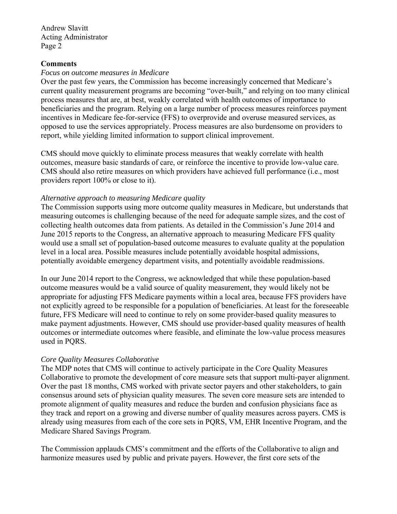Andrew Slavitt Acting Administrator Page 2

### **Comments**

#### *Focus on outcome measures in Medicare*

Over the past few years, the Commission has become increasingly concerned that Medicare's current quality measurement programs are becoming "over-built," and relying on too many clinical process measures that are, at best, weakly correlated with health outcomes of importance to beneficiaries and the program. Relying on a large number of process measures reinforces payment incentives in Medicare fee-for-service (FFS) to overprovide and overuse measured services, as opposed to use the services appropriately. Process measures are also burdensome on providers to report, while yielding limited information to support clinical improvement.

CMS should move quickly to eliminate process measures that weakly correlate with health outcomes, measure basic standards of care, or reinforce the incentive to provide low-value care. CMS should also retire measures on which providers have achieved full performance (i.e., most providers report 100% or close to it).

## *Alternative approach to measuring Medicare quality*

The Commission supports using more outcome quality measures in Medicare, but understands that measuring outcomes is challenging because of the need for adequate sample sizes, and the cost of collecting health outcomes data from patients. As detailed in the Commission's June 2014 and June 2015 reports to the Congress, an alternative approach to measuring Medicare FFS quality would use a small set of population-based outcome measures to evaluate quality at the population level in a local area. Possible measures include potentially avoidable hospital admissions, potentially avoidable emergency department visits, and potentially avoidable readmissions.

In our June 2014 report to the Congress, we acknowledged that while these population-based outcome measures would be a valid source of quality measurement, they would likely not be appropriate for adjusting FFS Medicare payments within a local area, because FFS providers have not explicitly agreed to be responsible for a population of beneficiaries. At least for the foreseeable future, FFS Medicare will need to continue to rely on some provider-based quality measures to make payment adjustments. However, CMS should use provider-based quality measures of health outcomes or intermediate outcomes where feasible, and eliminate the low-value process measures used in PQRS.

## *Core Quality Measures Collaborative*

The MDP notes that CMS will continue to actively participate in the Core Quality Measures Collaborative to promote the development of core measure sets that support multi-payer alignment. Over the past 18 months, CMS worked with private sector payers and other stakeholders, to gain consensus around sets of physician quality measures. The seven core measure sets are intended to promote alignment of quality measures and reduce the burden and confusion physicians face as they track and report on a growing and diverse number of quality measures across payers. CMS is already using measures from each of the core sets in PQRS, VM, EHR Incentive Program, and the Medicare Shared Savings Program.

The Commission applauds CMS's commitment and the efforts of the Collaborative to align and harmonize measures used by public and private payers. However, the first core sets of the